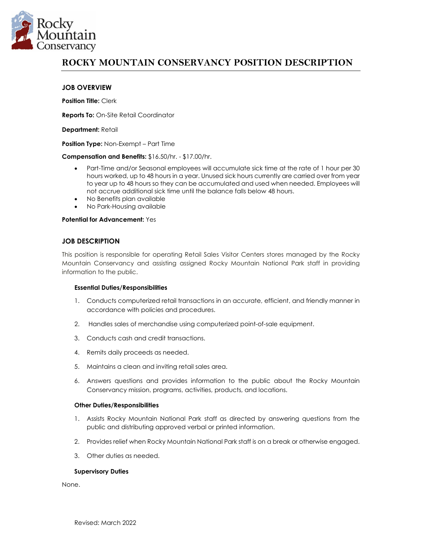

# **ROCKY MOUNTAIN CONSERVANCY POSITION DESCRIPTION**

## **JOB OVERVIEW**

**Position Title:** Clerk

**Reports To:** On-Site Retail Coordinator

**Department:** Retail

**Position Type:** Non-Exempt – Part Time

**Compensation and Benefits:** \$16.50/hr. - \$17.00/hr.

- Part-Time and/or Seasonal employees will accumulate sick time at the rate of 1 hour per 30 hours worked, up to 48 hours in a year. Unused sick hours currently are carried over from year to year up to 48 hours so they can be accumulated and used when needed. Employees will not accrue additional sick time until the balance falls below 48 hours.
- No Benefits plan available
- No Park-Housing available

#### **Potential for Advancement:** Yes

## **JOB DESCRIPTION**

This position is responsible for operating Retail Sales Visitor Centers stores managed by the Rocky Mountain Conservancy and assisting assigned Rocky Mountain National Park staff in providing information to the public.

#### **Essential Duties/Responsibilities**

- 1. Conducts computerized retail transactions in an accurate, efficient, and friendly manner in accordance with policies and procedures.
- 2. Handles sales of merchandise using computerized point-of-sale equipment.
- 3. Conducts cash and credit transactions.
- 4. Remits daily proceeds as needed.
- 5. Maintains a clean and inviting retail sales area.
- 6. Answers questions and provides information to the public about the Rocky Mountain Conservancy mission, programs, activities, products, and locations.

#### **Other Duties/Responsibilities**

- 1. Assists Rocky Mountain National Park staff as directed by answering questions from the public and distributing approved verbal or printed information.
- 2. Provides relief when Rocky Mountain National Park staff is on a break or otherwise engaged.
- 3. Other duties as needed.

#### **Supervisory Duties**

None.